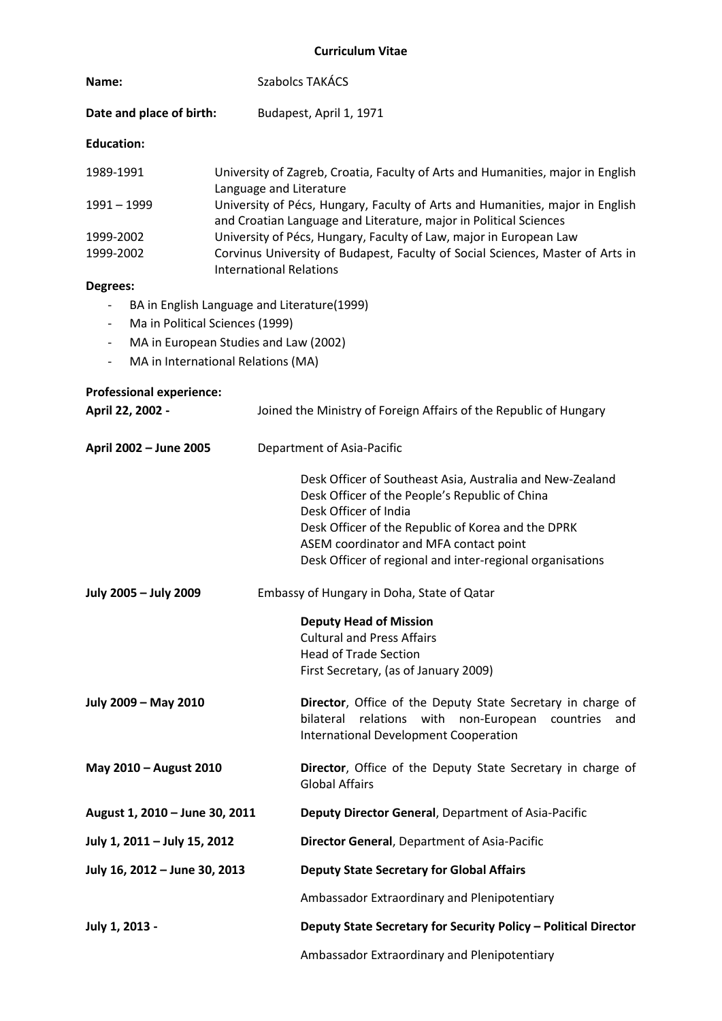## **Curriculum Vitae**

| Name:                    | Szabolcs TAKÁCS                                                                                                                                    |  |
|--------------------------|----------------------------------------------------------------------------------------------------------------------------------------------------|--|
| Date and place of birth: | Budapest, April 1, 1971                                                                                                                            |  |
| <b>Education:</b>        |                                                                                                                                                    |  |
| 1989-1991                | University of Zagreb, Croatia, Faculty of Arts and Humanities, major in English<br>Language and Literature                                         |  |
| 1991 - 1999              | University of Pécs, Hungary, Faculty of Arts and Humanities, major in English<br>and Croatian Language and Literature, major in Political Sciences |  |
| 1999-2002                | University of Pécs, Hungary, Faculty of Law, major in European Law                                                                                 |  |
| 1999-2002                | Corvinus University of Budapest, Faculty of Social Sciences, Master of Arts in<br><b>International Relations</b>                                   |  |

## **Degrees:**

- BA in English Language and Literature(1999)
- Ma in Political Sciences (1999)
- MA in European Studies and Law (2002)
- MA in International Relations (MA)

| <b>Professional experience:</b><br>April 22, 2002 - | Joined the Ministry of Foreign Affairs of the Republic of Hungary                                                                                                                                                                                                                                 |
|-----------------------------------------------------|---------------------------------------------------------------------------------------------------------------------------------------------------------------------------------------------------------------------------------------------------------------------------------------------------|
| April 2002 - June 2005                              | Department of Asia-Pacific                                                                                                                                                                                                                                                                        |
|                                                     | Desk Officer of Southeast Asia, Australia and New-Zealand<br>Desk Officer of the People's Republic of China<br>Desk Officer of India<br>Desk Officer of the Republic of Korea and the DPRK<br>ASEM coordinator and MFA contact point<br>Desk Officer of regional and inter-regional organisations |
| July 2005 - July 2009                               | Embassy of Hungary in Doha, State of Qatar                                                                                                                                                                                                                                                        |
|                                                     | <b>Deputy Head of Mission</b><br><b>Cultural and Press Affairs</b><br><b>Head of Trade Section</b><br>First Secretary, (as of January 2009)                                                                                                                                                       |
| July 2009 - May 2010                                | Director, Office of the Deputy State Secretary in charge of<br>bilateral<br>relations with<br>non-European<br>countries<br>and<br>International Development Cooperation                                                                                                                           |
| May 2010 - August 2010                              | Director, Office of the Deputy State Secretary in charge of<br><b>Global Affairs</b>                                                                                                                                                                                                              |
| August 1, 2010 - June 30, 2011                      | Deputy Director General, Department of Asia-Pacific                                                                                                                                                                                                                                               |
| July 1, 2011 - July 15, 2012                        | <b>Director General, Department of Asia-Pacific</b>                                                                                                                                                                                                                                               |
| July 16, 2012 - June 30, 2013                       | <b>Deputy State Secretary for Global Affairs</b>                                                                                                                                                                                                                                                  |
|                                                     | Ambassador Extraordinary and Plenipotentiary                                                                                                                                                                                                                                                      |
| July 1, 2013 -                                      | Deputy State Secretary for Security Policy - Political Director                                                                                                                                                                                                                                   |

Ambassador Extraordinary and Plenipotentiary